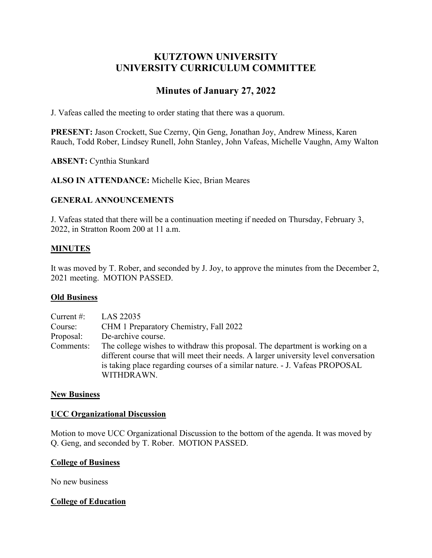# **KUTZTOWN UNIVERSITY UNIVERSITY CURRICULUM COMMITTEE**

# **Minutes of January 27, 2022**

J. Vafeas called the meeting to order stating that there was a quorum.

**PRESENT:** Jason Crockett, Sue Czerny, Qin Geng, Jonathan Joy, Andrew Miness, Karen Rauch, Todd Rober, Lindsey Runell, John Stanley, John Vafeas, Michelle Vaughn, Amy Walton

**ABSENT:** Cynthia Stunkard

**ALSO IN ATTENDANCE:** Michelle Kiec, Brian Meares

#### **GENERAL ANNOUNCEMENTS**

J. Vafeas stated that there will be a continuation meeting if needed on Thursday, February 3, 2022, in Stratton Room 200 at 11 a.m.

#### **MINUTES**

It was moved by T. Rober, and seconded by J. Joy, to approve the minutes from the December 2, 2021 meeting. MOTION PASSED.

#### **Old Business**

| Current $#$ : | LAS 22035                                                                                                                                                                                                                                                        |
|---------------|------------------------------------------------------------------------------------------------------------------------------------------------------------------------------------------------------------------------------------------------------------------|
| Course:       | CHM 1 Preparatory Chemistry, Fall 2022                                                                                                                                                                                                                           |
| Proposal:     | De-archive course.                                                                                                                                                                                                                                               |
| Comments:     | The college wishes to withdraw this proposal. The department is working on a<br>different course that will meet their needs. A larger university level conversation<br>is taking place regarding courses of a similar nature. - J. Vafeas PROPOSAL<br>WITHDRAWN. |

#### **New Business**

#### **UCC Organizational Discussion**

Motion to move UCC Organizational Discussion to the bottom of the agenda. It was moved by Q. Geng, and seconded by T. Rober. MOTION PASSED.

#### **College of Business**

No new business

#### **College of Education**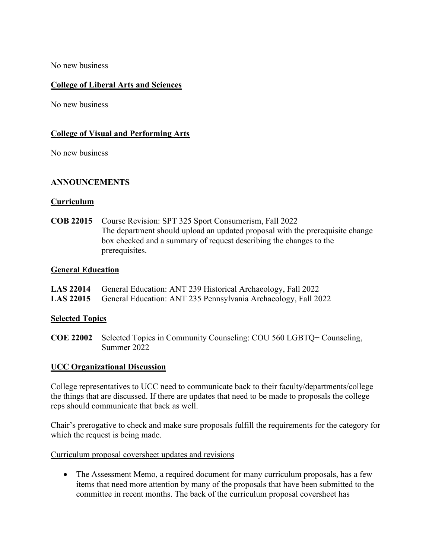No new business

### **College of Liberal Arts and Sciences**

No new business

### **College of Visual and Performing Arts**

No new business

### **ANNOUNCEMENTS**

#### **Curriculum**

**COB 22015** Course Revision: SPT 325 Sport Consumerism, Fall 2022 The department should upload an updated proposal with the prerequisite change box checked and a summary of request describing the changes to the prerequisites.

#### **General Education**

| LAS 22014 General Education: ANT 239 Historical Archaeology, Fall 2022 |  |
|------------------------------------------------------------------------|--|
|------------------------------------------------------------------------|--|

**LAS 22015** General Education: ANT 235 Pennsylvania Archaeology, Fall 2022

#### **Selected Topics**

**COE 22002** Selected Topics in Community Counseling: COU 560 LGBTQ+ Counseling, Summer 2022

#### **UCC Organizational Discussion**

College representatives to UCC need to communicate back to their faculty/departments/college the things that are discussed. If there are updates that need to be made to proposals the college reps should communicate that back as well.

Chair's prerogative to check and make sure proposals fulfill the requirements for the category for which the request is being made.

Curriculum proposal coversheet updates and revisions

• The Assessment Memo, a required document for many curriculum proposals, has a few items that need more attention by many of the proposals that have been submitted to the committee in recent months. The back of the curriculum proposal coversheet has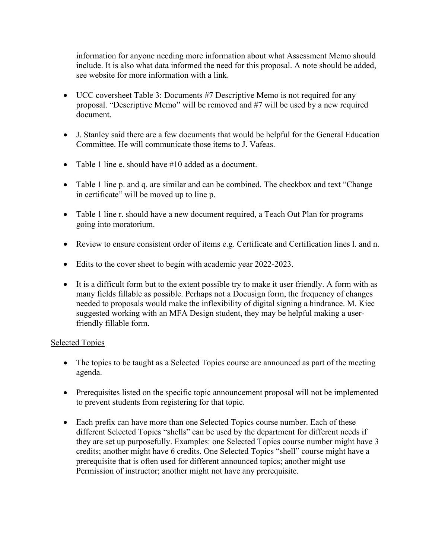information for anyone needing more information about what Assessment Memo should include. It is also what data informed the need for this proposal. A note should be added, see website for more information with a link.

- UCC coversheet Table 3: Documents #7 Descriptive Memo is not required for any proposal. "Descriptive Memo" will be removed and #7 will be used by a new required document.
- J. Stanley said there are a few documents that would be helpful for the General Education Committee. He will communicate those items to J. Vafeas.
- Table 1 line e. should have #10 added as a document.
- Table 1 line p. and q. are similar and can be combined. The checkbox and text "Change" in certificate" will be moved up to line p.
- Table 1 line r. should have a new document required, a Teach Out Plan for programs going into moratorium.
- Review to ensure consistent order of items e.g. Certificate and Certification lines l. and n.
- Edits to the cover sheet to begin with academic year 2022-2023.
- It is a difficult form but to the extent possible try to make it user friendly. A form with as many fields fillable as possible. Perhaps not a Docusign form, the frequency of changes needed to proposals would make the inflexibility of digital signing a hindrance. M. Kiec suggested working with an MFA Design student, they may be helpful making a userfriendly fillable form.

## Selected Topics

- The topics to be taught as a Selected Topics course are announced as part of the meeting agenda.
- Prerequisites listed on the specific topic announcement proposal will not be implemented to prevent students from registering for that topic.
- Each prefix can have more than one Selected Topics course number. Each of these different Selected Topics "shells" can be used by the department for different needs if they are set up purposefully. Examples: one Selected Topics course number might have 3 credits; another might have 6 credits. One Selected Topics "shell" course might have a prerequisite that is often used for different announced topics; another might use Permission of instructor; another might not have any prerequisite.